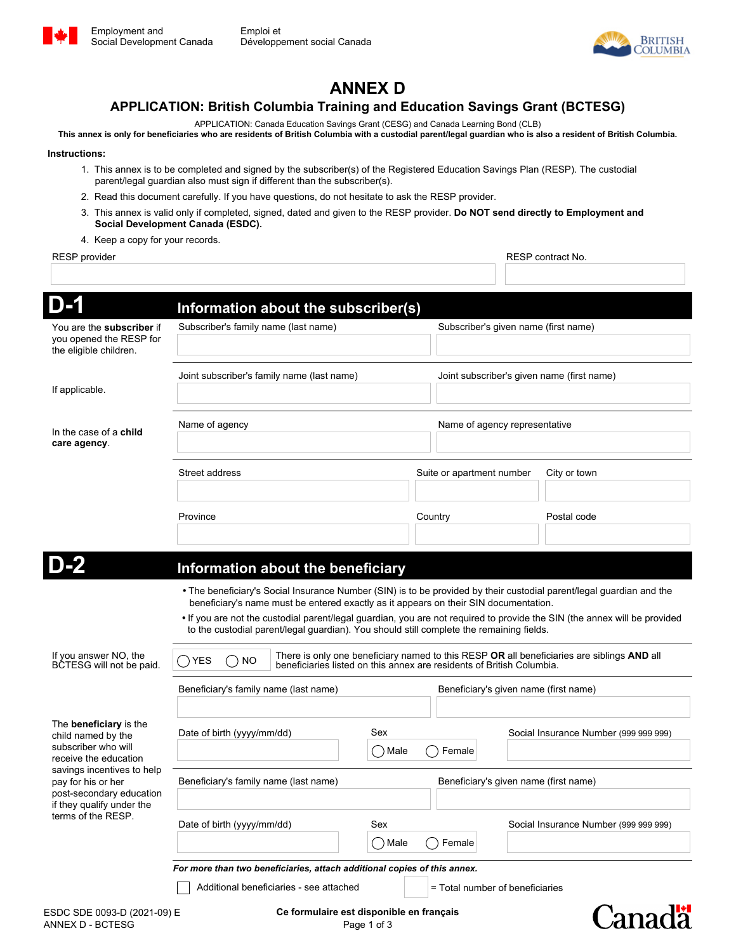



# **ANNEX D**

### **APPLICATION: British Columbia Training and Education Savings Grant (BCTESG)**

APPLICATION: Canada Education Savings Grant (CESG) and Canada Learning Bond (CLB)

**This annex is only for beneficiaries who are residents of British Columbia with a custodial parent/legal guardian who is also a resident of British Columbia.**

#### **Instructions:**

- 1. This annex is to be completed and signed by the subscriber(s) of the Registered Education Savings Plan (RESP). The custodial parent/legal guardian also must sign if different than the subscriber(s).
- 2. Read this document carefully. If you have questions, do not hesitate to ask the RESP provider.
- 3. This annex is valid only if completed, signed, dated and given to the RESP provider. **Do NOT send directly to Employment and Social Development Canada (ESDC).**
- 4. Keep a copy for your records.

#### RESP provider **RESP** contract No.

|                                                                                                                                                                                                                                        | Information about the subscriber(s)                                                                                                                                                                                                                                                                                                                                                                                                                   |                                 |                                                                       |                                                                                            |  |
|----------------------------------------------------------------------------------------------------------------------------------------------------------------------------------------------------------------------------------------|-------------------------------------------------------------------------------------------------------------------------------------------------------------------------------------------------------------------------------------------------------------------------------------------------------------------------------------------------------------------------------------------------------------------------------------------------------|---------------------------------|-----------------------------------------------------------------------|--------------------------------------------------------------------------------------------|--|
| You are the <b>subscriber</b> if<br>you opened the RESP for<br>the eligible children.                                                                                                                                                  | Subscriber's family name (last name)                                                                                                                                                                                                                                                                                                                                                                                                                  |                                 | Subscriber's given name (first name)                                  |                                                                                            |  |
| If applicable.                                                                                                                                                                                                                         | Joint subscriber's family name (last name)                                                                                                                                                                                                                                                                                                                                                                                                            |                                 | Joint subscriber's given name (first name)                            |                                                                                            |  |
| In the case of a <b>child</b><br>care agency.                                                                                                                                                                                          | Name of agency                                                                                                                                                                                                                                                                                                                                                                                                                                        |                                 | Name of agency representative                                         |                                                                                            |  |
|                                                                                                                                                                                                                                        | Street address                                                                                                                                                                                                                                                                                                                                                                                                                                        |                                 | Suite or apartment number                                             | City or town                                                                               |  |
|                                                                                                                                                                                                                                        | Province                                                                                                                                                                                                                                                                                                                                                                                                                                              | Country<br>$\blacktriangledown$ |                                                                       | Postal code                                                                                |  |
|                                                                                                                                                                                                                                        |                                                                                                                                                                                                                                                                                                                                                                                                                                                       |                                 |                                                                       |                                                                                            |  |
|                                                                                                                                                                                                                                        | Information about the beneficiary                                                                                                                                                                                                                                                                                                                                                                                                                     |                                 |                                                                       |                                                                                            |  |
|                                                                                                                                                                                                                                        |                                                                                                                                                                                                                                                                                                                                                                                                                                                       |                                 |                                                                       |                                                                                            |  |
|                                                                                                                                                                                                                                        | • The beneficiary's Social Insurance Number (SIN) is to be provided by their custodial parent/legal guardian and the<br>beneficiary's name must be entered exactly as it appears on their SIN documentation.<br>. If you are not the custodial parent/legal guardian, you are not required to provide the SIN (the annex will be provided<br>to the custodial parent/legal guardian). You should still complete the remaining fields.<br>()YES<br>NO. |                                 | beneficiaries listed on this annex are residents of British Columbia. | There is only one beneficiary named to this RESP OR all beneficiaries are siblings AND all |  |
| If you answer NO, the<br>BCTESG will not be paid.                                                                                                                                                                                      | Beneficiary's family name (last name)                                                                                                                                                                                                                                                                                                                                                                                                                 |                                 | Beneficiary's given name (first name)                                 |                                                                                            |  |
|                                                                                                                                                                                                                                        | Date of birth (yyyy/mm/dd)                                                                                                                                                                                                                                                                                                                                                                                                                            | Sex<br>) Male                   | Female                                                                | Social Insurance Number (999 999 999)                                                      |  |
|                                                                                                                                                                                                                                        | Beneficiary's family name (last name)                                                                                                                                                                                                                                                                                                                                                                                                                 |                                 | Beneficiary's given name (first name)                                 |                                                                                            |  |
|                                                                                                                                                                                                                                        | Date of birth (yyyy/mm/dd)                                                                                                                                                                                                                                                                                                                                                                                                                            | Sex                             |                                                                       | Social Insurance Number (999 999 999)                                                      |  |
|                                                                                                                                                                                                                                        |                                                                                                                                                                                                                                                                                                                                                                                                                                                       | つMale                           | Female                                                                |                                                                                            |  |
| The <b>beneficiary</b> is the<br>child named by the<br>subscriber who will<br>receive the education<br>savings incentives to help<br>pay for his or her<br>post-secondary education<br>if they qualify under the<br>terms of the RESP. | For more than two beneficiaries, attach additional copies of this annex.<br>Additional beneficiaries - see attached                                                                                                                                                                                                                                                                                                                                   |                                 | = Total number of beneficiaries                                       |                                                                                            |  |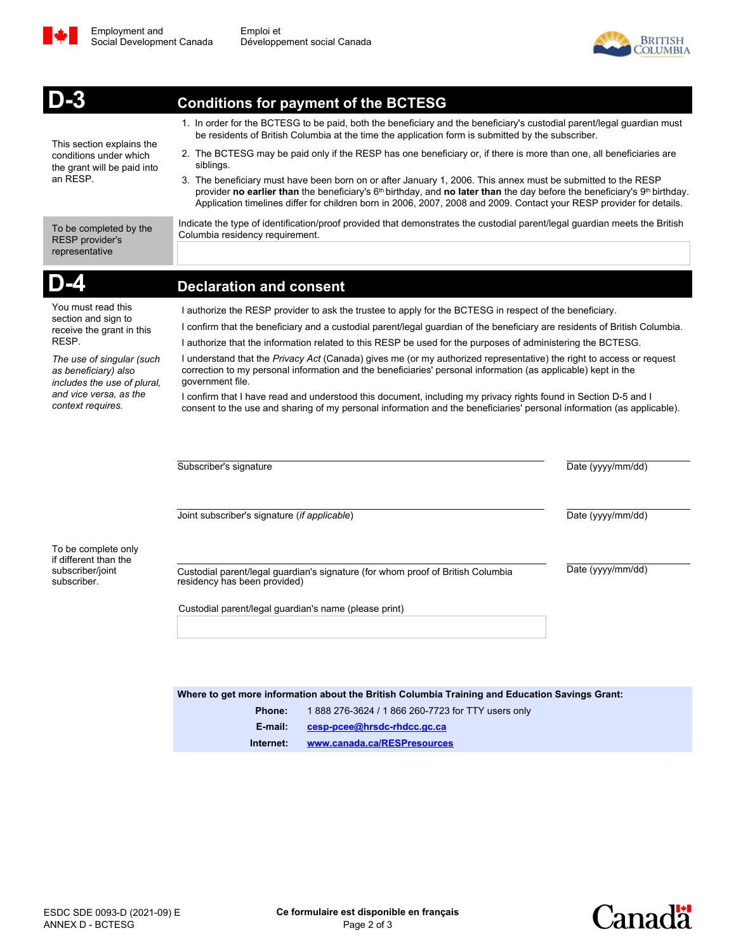



|                                                                                                | <b>Conditions for payment of the BCTESG</b>                                                                                                                                                                                                                                                                                                                                               |                   |  |  |
|------------------------------------------------------------------------------------------------|-------------------------------------------------------------------------------------------------------------------------------------------------------------------------------------------------------------------------------------------------------------------------------------------------------------------------------------------------------------------------------------------|-------------------|--|--|
|                                                                                                | 1. In order for the BCTESG to be paid, both the beneficiary and the beneficiary's custodial parent/legal guardian must<br>be residents of British Columbia at the time the application form is submitted by the subscriber.                                                                                                                                                               |                   |  |  |
| This section explains the<br>conditions under which<br>the grant will be paid into<br>an RESP. | 2. The BCTESG may be paid only if the RESP has one beneficiary or, if there is more than one, all beneficiaries are<br>siblings.                                                                                                                                                                                                                                                          |                   |  |  |
|                                                                                                | 3. The beneficiary must have been born on or after January 1, 2006. This annex must be submitted to the RESP<br>provider no earlier than the beneficiary's 6 <sup>th</sup> birthday, and no later than the day before the beneficiary's 9 <sup>th</sup> birthday.<br>Application timelines differ for children born in 2006, 2007, 2008 and 2009. Contact your RESP provider for details. |                   |  |  |
| To be completed by the<br>RESP provider's<br>representative                                    | Indicate the type of identification/proof provided that demonstrates the custodial parent/legal guardian meets the British<br>Columbia residency requirement.                                                                                                                                                                                                                             |                   |  |  |
|                                                                                                | <b>Declaration and consent</b>                                                                                                                                                                                                                                                                                                                                                            |                   |  |  |
| You must read this<br>section and sign to<br>receive the grant in this                         | I authorize the RESP provider to ask the trustee to apply for the BCTESG in respect of the beneficiary.                                                                                                                                                                                                                                                                                   |                   |  |  |
|                                                                                                | I confirm that the beneficiary and a custodial parent/legal guardian of the beneficiary are residents of British Columbia.                                                                                                                                                                                                                                                                |                   |  |  |
| RESP.                                                                                          | I authorize that the information related to this RESP be used for the purposes of administering the BCTESG.                                                                                                                                                                                                                                                                               |                   |  |  |
| The use of singular (such<br>as beneficiary) also<br>includes the use of plural,               | I understand that the Privacy Act (Canada) gives me (or my authorized representative) the right to access or request<br>correction to my personal information and the beneficiaries' personal information (as applicable) kept in the<br>government file.                                                                                                                                 |                   |  |  |
| and vice versa, as the<br>context requires.                                                    | I confirm that I have read and understood this document, including my privacy rights found in Section D-5 and I<br>consent to the use and sharing of my personal information and the beneficiaries' personal information (as applicable).                                                                                                                                                 |                   |  |  |
|                                                                                                | Subscriber's signature                                                                                                                                                                                                                                                                                                                                                                    | Date (yyyy/mm/dd) |  |  |
|                                                                                                | Joint subscriber's signature (if applicable)                                                                                                                                                                                                                                                                                                                                              | Date (yyyy/mm/dd) |  |  |
| To be complete only<br>if different than the                                                   |                                                                                                                                                                                                                                                                                                                                                                                           |                   |  |  |
| subscriber/joint<br>subscriber.                                                                | Custodial parent/legal guardian's signature (for whom proof of British Columbia<br>residency has been provided)                                                                                                                                                                                                                                                                           | Date (yyyy/mm/dd) |  |  |
|                                                                                                | Custodial parent/legal guardian's name (please print)                                                                                                                                                                                                                                                                                                                                     |                   |  |  |
|                                                                                                |                                                                                                                                                                                                                                                                                                                                                                                           |                   |  |  |
|                                                                                                | Where to get more information about the British Columbia Training and Education Savings Grant:                                                                                                                                                                                                                                                                                            |                   |  |  |
|                                                                                                | Phone:<br>1 888 276-3624 / 1 866 260-7723 for TTY users only                                                                                                                                                                                                                                                                                                                              |                   |  |  |
|                                                                                                | E-mail:<br>cesp-pcee@hrsdc-rhdcc.gc.ca                                                                                                                                                                                                                                                                                                                                                    |                   |  |  |

ESDC SDE 0093-D (2021-09) E ANNEX D - BCTESG

**Internet: <www.canada.ca/RESPresources>**